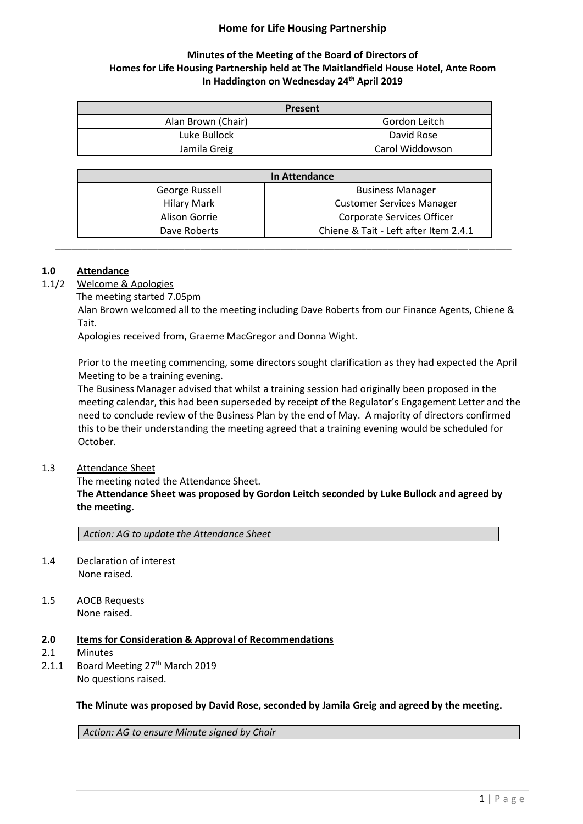# **Home for Life Housing Partnership**

# **Minutes of the Meeting of the Board of Directors of Homes for Life Housing Partnership held at The Maitlandfield House Hotel, Ante Room In Haddington on Wednesday 24 th April 2019**

| <b>Present</b>     |                 |
|--------------------|-----------------|
| Alan Brown (Chair) | Gordon Leitch   |
| Luke Bullock       | David Rose      |
| Jamila Greig       | Carol Widdowson |

| In Attendance      |                                       |
|--------------------|---------------------------------------|
| George Russell     | <b>Business Manager</b>               |
| <b>Hilary Mark</b> | <b>Customer Services Manager</b>      |
| Alison Gorrie      | <b>Corporate Services Officer</b>     |
| Dave Roberts       | Chiene & Tait - Left after Item 2.4.1 |

### **1.0 Attendance**

- 1.1/2 Welcome & Apologies
	- The meeting started 7.05pm

Alan Brown welcomed all to the meeting including Dave Roberts from our Finance Agents, Chiene & Tait.

Apologies received from, Graeme MacGregor and Donna Wight.

Prior to the meeting commencing, some directors sought clarification as they had expected the April Meeting to be a training evening.

The Business Manager advised that whilst a training session had originally been proposed in the meeting calendar, this had been superseded by receipt of the Regulator's Engagement Letter and the need to conclude review of the Business Plan by the end of May. A majority of directors confirmed this to be their understanding the meeting agreed that a training evening would be scheduled for October.

#### 1.3 Attendance Sheet

The meeting noted the Attendance Sheet.

**The Attendance Sheet was proposed by Gordon Leitch seconded by Luke Bullock and agreed by the meeting.**

*Action: AG to update the Attendance Sheet*

- 1.4 Declaration of interest None raised.
- 1.5 AOCB Requests None raised.
- **2.0 Items for Consideration & Approval of Recommendations**
- 2.1 Minutes
- 2.1.1 Board Meeting 27<sup>th</sup> March 2019 No questions raised.

**The Minute was proposed by David Rose, seconded by Jamila Greig and agreed by the meeting.**

*Action: AG to ensure Minute signed by Chair*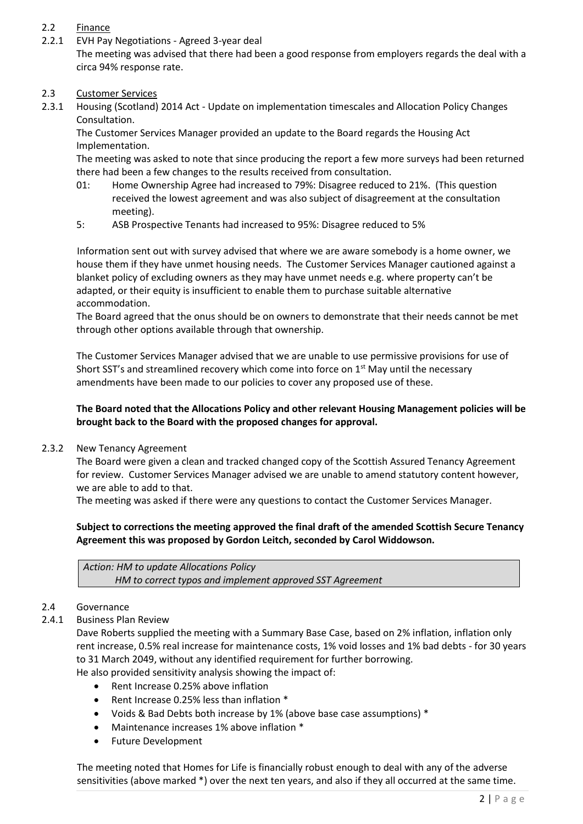# 2.2 Finance

2.2.1 EVH Pay Negotiations - Agreed 3-year deal The meeting was advised that there had been a good response from employers regards the deal with a circa 94% response rate.

### 2.3 Customer Services

2.3.1 Housing (Scotland) 2014 Act - Update on implementation timescales and Allocation Policy Changes Consultation.

The Customer Services Manager provided an update to the Board regards the Housing Act Implementation.

The meeting was asked to note that since producing the report a few more surveys had been returned there had been a few changes to the results received from consultation.

- 01: Home Ownership Agree had increased to 79%: Disagree reduced to 21%. (This question received the lowest agreement and was also subject of disagreement at the consultation meeting).
- 5: ASB Prospective Tenants had increased to 95%: Disagree reduced to 5%

Information sent out with survey advised that where we are aware somebody is a home owner, we house them if they have unmet housing needs. The Customer Services Manager cautioned against a blanket policy of excluding owners as they may have unmet needs e.g. where property can't be adapted, or their equity is insufficient to enable them to purchase suitable alternative accommodation.

The Board agreed that the onus should be on owners to demonstrate that their needs cannot be met through other options available through that ownership.

The Customer Services Manager advised that we are unable to use permissive provisions for use of Short SST's and streamlined recovery which come into force on  $1<sup>st</sup>$  May until the necessary amendments have been made to our policies to cover any proposed use of these.

## **The Board noted that the Allocations Policy and other relevant Housing Management policies will be brought back to the Board with the proposed changes for approval.**

2.3.2 New Tenancy Agreement

The Board were given a clean and tracked changed copy of the Scottish Assured Tenancy Agreement for review. Customer Services Manager advised we are unable to amend statutory content however, we are able to add to that.

The meeting was asked if there were any questions to contact the Customer Services Manager.

## **Subject to corrections the meeting approved the final draft of the amended Scottish Secure Tenancy Agreement this was proposed by Gordon Leitch, seconded by Carol Widdowson.**

*Action: HM to update Allocations Policy HM to correct typos and implement approved SST Agreement*

#### 2.4 Governance

## 2.4.1 Business Plan Review

Dave Roberts supplied the meeting with a Summary Base Case, based on 2% inflation, inflation only rent increase, 0.5% real increase for maintenance costs, 1% void losses and 1% bad debts - for 30 years to 31 March 2049, without any identified requirement for further borrowing.

He also provided sensitivity analysis showing the impact of:

- Rent Increase 0.25% above inflation
- Rent Increase 0.25% less than inflation \*
- Voids & Bad Debts both increase by 1% (above base case assumptions) \*
- Maintenance increases 1% above inflation \*
- Future Development

The meeting noted that Homes for Life is financially robust enough to deal with any of the adverse sensitivities (above marked \*) over the next ten years, and also if they all occurred at the same time.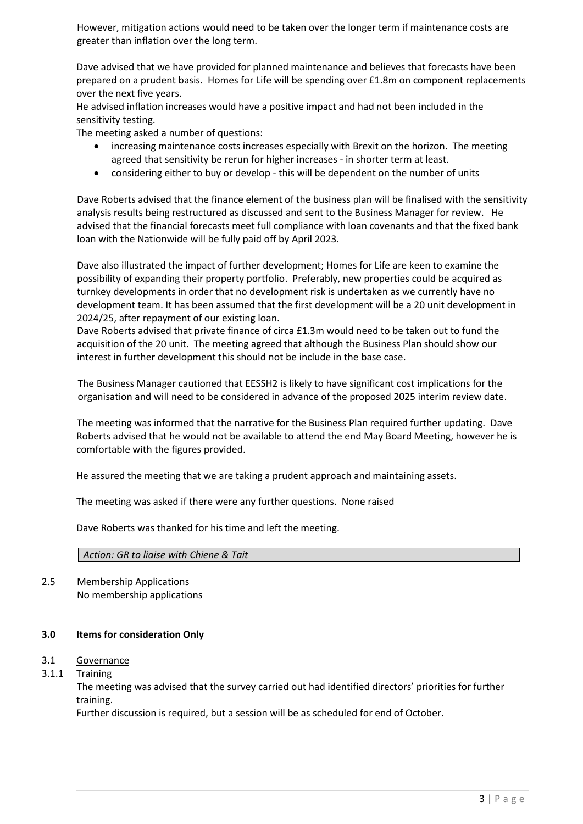However, mitigation actions would need to be taken over the longer term if maintenance costs are greater than inflation over the long term.

Dave advised that we have provided for planned maintenance and believes that forecasts have been prepared on a prudent basis. Homes for Life will be spending over £1.8m on component replacements over the next five years.

He advised inflation increases would have a positive impact and had not been included in the sensitivity testing.

The meeting asked a number of questions:

- increasing maintenance costs increases especially with Brexit on the horizon. The meeting agreed that sensitivity be rerun for higher increases - in shorter term at least.
- considering either to buy or develop this will be dependent on the number of units

Dave Roberts advised that the finance element of the business plan will be finalised with the sensitivity analysis results being restructured as discussed and sent to the Business Manager for review. He advised that the financial forecasts meet full compliance with loan covenants and that the fixed bank loan with the Nationwide will be fully paid off by April 2023.

Dave also illustrated the impact of further development; Homes for Life are keen to examine the possibility of expanding their property portfolio. Preferably, new properties could be acquired as turnkey developments in order that no development risk is undertaken as we currently have no development team. It has been assumed that the first development will be a 20 unit development in 2024/25, after repayment of our existing loan.

Dave Roberts advised that private finance of circa £1.3m would need to be taken out to fund the acquisition of the 20 unit. The meeting agreed that although the Business Plan should show our interest in further development this should not be include in the base case.

The Business Manager cautioned that EESSH2 is likely to have significant cost implications for the organisation and will need to be considered in advance of the proposed 2025 interim review date.

The meeting was informed that the narrative for the Business Plan required further updating. Dave Roberts advised that he would not be available to attend the end May Board Meeting, however he is comfortable with the figures provided.

He assured the meeting that we are taking a prudent approach and maintaining assets.

The meeting was asked if there were any further questions. None raised

Dave Roberts was thanked for his time and left the meeting.

#### *Action: GR to liaise with Chiene & Tait*

2.5 Membership Applications No membership applications

#### **3.0 Items for consideration Only**

### 3.1 Governance

3.1.1 Training

The meeting was advised that the survey carried out had identified directors' priorities for further training.

Further discussion is required, but a session will be as scheduled for end of October.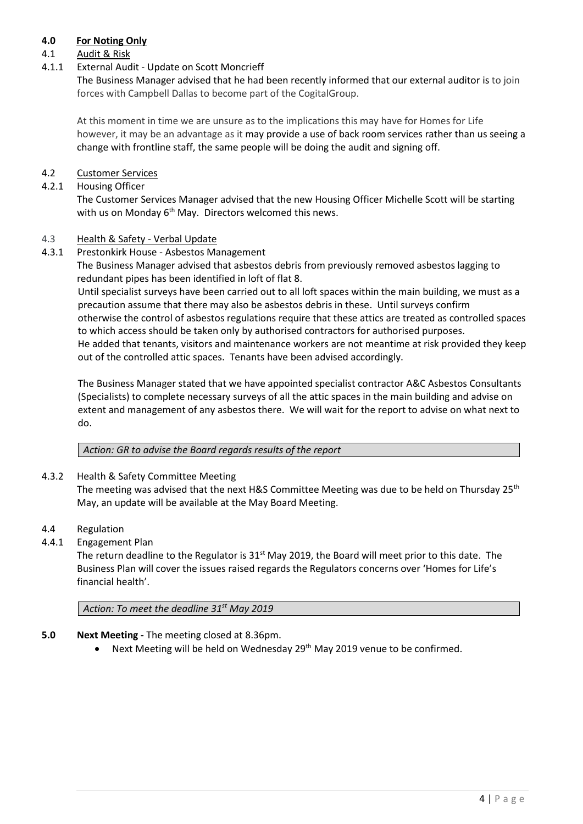# **4.0 For Noting Only**

## 4.1 Audit & Risk

## 4.1.1 External Audit - Update on Scott Moncrieff

The Business Manager advised that he had been recently informed that our external auditor is to join forces with Campbell Dallas to become part of the CogitalGroup.

At this moment in time we are unsure as to the implications this may have for Homes for Life however, it may be an advantage as it may provide a use of back room services rather than us seeing a change with frontline staff, the same people will be doing the audit and signing off.

## 4.2 Customer Services

### 4.2.1 Housing Officer

The Customer Services Manager advised that the new Housing Officer Michelle Scott will be starting with us on Monday 6<sup>th</sup> May. Directors welcomed this news.

#### 4.3 Health & Safety - Verbal Update

4.3.1 Prestonkirk House - Asbestos Management

The Business Manager advised that asbestos debris from previously removed asbestos lagging to redundant pipes has been identified in loft of flat 8.

Until specialist surveys have been carried out to all loft spaces within the main building, we must as a precaution assume that there may also be asbestos debris in these. Until surveys confirm otherwise the control of asbestos regulations require that these attics are treated as controlled spaces to which access should be taken only by authorised contractors for authorised purposes. He added that tenants, visitors and maintenance workers are not meantime at risk provided they keep out of the controlled attic spaces. Tenants have been advised accordingly.

The Business Manager stated that we have appointed specialist contractor A&C Asbestos Consultants (Specialists) to complete necessary surveys of all the attic spaces in the main building and advise on extent and management of any asbestos there. We will wait for the report to advise on what next to do.

*Action: GR to advise the Board regards results of the report* 

#### 4.3.2 Health & Safety Committee Meeting

The meeting was advised that the next H&S Committee Meeting was due to be held on Thursday 25<sup>th</sup> May, an update will be available at the May Board Meeting.

- 4.4 Regulation
- 4.4.1 Engagement Plan

The return deadline to the Regulator is  $31<sup>st</sup>$  May 2019, the Board will meet prior to this date. The Business Plan will cover the issues raised regards the Regulators concerns over 'Homes for Life's financial health'.

*Action: To meet the deadline 31st May 2019* 

- **5.0 Next Meeting -** The meeting closed at 8.36pm.
	- Next Meeting will be held on Wednesday 29<sup>th</sup> May 2019 venue to be confirmed.